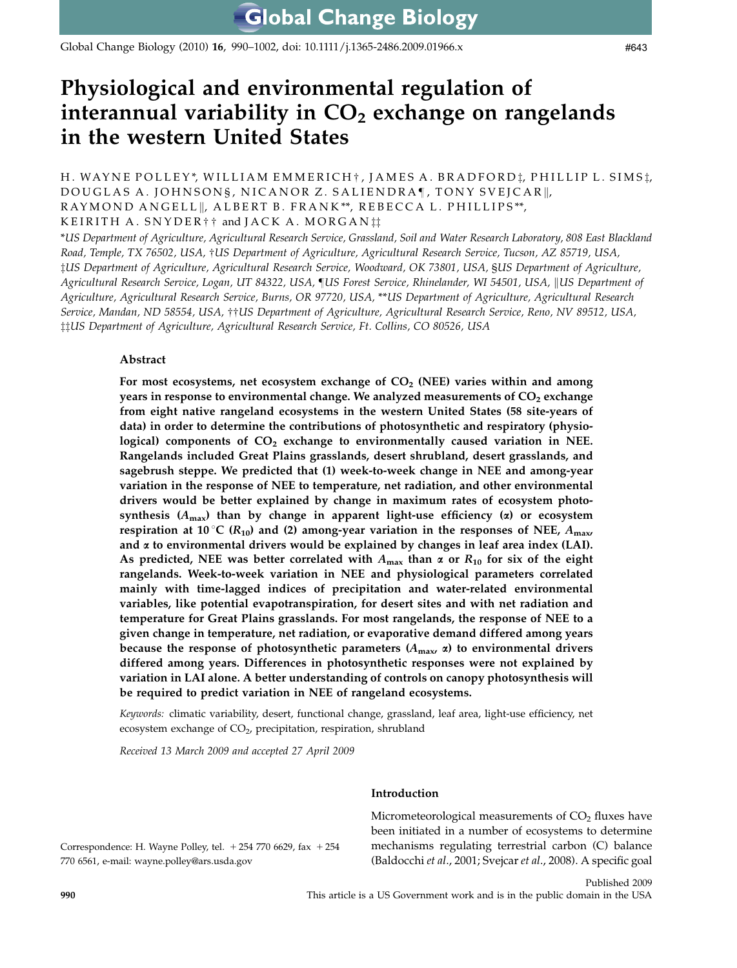Global Change Biology (2010) 16, 990–1002, doi: 10.1111/j.1365-2486.2009.01966.x

# Physiological and environmental regulation of interannual variability in  $CO<sub>2</sub>$  exchange on rangelands in the western United States

H. WAYNE POLLEY\*, WILLIAM EMMERICH †, JAMES A. BRADFORD *†*, PHILLIP L. SIMS *†*, DOUGLAS A. JOHNSONS, NICANOR Z. SALIENDRA¶, TONY SVEJCAR||, RAYMOND ANGELL||, ALBERT B. FRANK\*\*, REBECCA L. PHILLIPS\*\*, KEIRITH A.  $SNYDER$ <sup>+</sup>  $\dagger$  and JACK A. MORGAN<sup> $\ddagger\ddagger$ </sup>

\*US Department of Agriculture, Agricultural Research Service, Grassland, Soil and Water Research Laboratory, 808 East Blackland Road, Temple, TX 76502, USA, †US Department of Agriculture, Agricultural Research Service, Tucson, AZ 85719, USA, zUS Department of Agriculture, Agricultural Research Service, Woodward, OK 73801, USA, §US Department of Agriculture, Agricultural Research Service, Logan, UT 84322, USA, JUS Forest Service, Rhinelander, WI 54501, USA, ||US Department of Agriculture, Agricultural Research Service, Burns, OR 97720, USA, \*\*US Department of Agriculture, Agricultural Research Service, Mandan, ND 58554, USA, ††US Department of Agriculture, Agricultural Research Service, Reno, NV 89512, USA,  $\ddagger$ <sup>†</sup>US Department of Agriculture, Agricultural Research Service, Ft. Collins, CO 80526, USA

# Abstract

For most ecosystems, net ecosystem exchange of  $CO<sub>2</sub>$  (NEE) varies within and among years in response to environmental change. We analyzed measurements of  $CO<sub>2</sub>$  exchange from eight native rangeland ecosystems in the western United States (58 site-years of data) in order to determine the contributions of photosynthetic and respiratory (physiological) components of  $CO<sub>2</sub>$  exchange to environmentally caused variation in NEE. Rangelands included Great Plains grasslands, desert shrubland, desert grasslands, and sagebrush steppe. We predicted that (1) week-to-week change in NEE and among-year variation in the response of NEE to temperature, net radiation, and other environmental drivers would be better explained by change in maximum rates of ecosystem photosynthesis  $(A_{\text{max}})$  than by change in apparent light-use efficiency ( $\alpha$ ) or ecosystem respiration at 10 °C ( $R_{10}$ ) and (2) among-year variation in the responses of NEE,  $A_{\text{max}}$ and  $\alpha$  to environmental drivers would be explained by changes in leaf area index (LAI). As predicted, NEE was better correlated with  $A_{\text{max}}$  than  $\alpha$  or  $R_{10}$  for six of the eight rangelands. Week-to-week variation in NEE and physiological parameters correlated mainly with time-lagged indices of precipitation and water-related environmental variables, like potential evapotranspiration, for desert sites and with net radiation and temperature for Great Plains grasslands. For most rangelands, the response of NEE to a given change in temperature, net radiation, or evaporative demand differed among years because the response of photosynthetic parameters  $(A_{\text{max}}, \alpha)$  to environmental drivers differed among years. Differences in photosynthetic responses were not explained by variation in LAI alone. A better understanding of controls on canopy photosynthesis will be required to predict variation in NEE of rangeland ecosystems.

Keywords: climatic variability, desert, functional change, grassland, leaf area, light-use efficiency, net ecosystem exchange of CO<sub>2</sub>, precipitation, respiration, shrubland

Received 13 March 2009 and accepted 27 April 2009

#### Introduction

Micrometeorological measurements of  $CO<sub>2</sub>$  fluxes have been initiated in a number of ecosystems to determine mechanisms regulating terrestrial carbon (C) balance (Baldocchi et al., 2001; Svejcar et al., 2008). A specific goal

#643

Correspondence: H. Wayne Polley, tel.  $+ 254 770 6629$ , fax  $+ 254 770 6629$ 770 6561, e-mail: [wayne.polley@ars.usda.gov](mailto:wayne.polley@ars.usda.gov)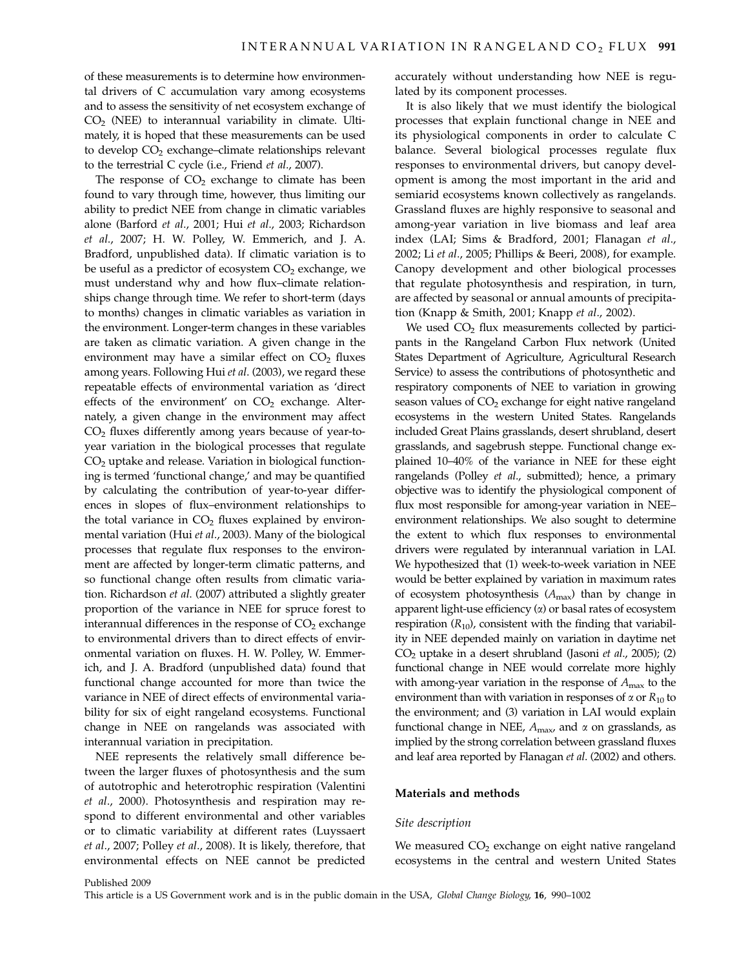of these measurements is to determine how environmental drivers of C accumulation vary among ecosystems and to assess the sensitivity of net ecosystem exchange of  $CO<sub>2</sub>$  (NEE) to interannual variability in climate. Ultimately, it is hoped that these measurements can be used to develop CO<sub>2</sub> exchange–climate relationships relevant to the terrestrial C cycle (i.e., Friend et al., 2007).

The response of  $CO<sub>2</sub>$  exchange to climate has been found to vary through time, however, thus limiting our ability to predict NEE from change in climatic variables alone (Barford et al., 2001; Hui et al., 2003; Richardson et al., 2007; H. W. Polley, W. Emmerich, and J. A. Bradford, unpublished data). If climatic variation is to be useful as a predictor of ecosystem  $CO<sub>2</sub>$  exchange, we must understand why and how flux–climate relationships change through time. We refer to short-term (days to months) changes in climatic variables as variation in the environment. Longer-term changes in these variables are taken as climatic variation. A given change in the environment may have a similar effect on  $CO<sub>2</sub>$  fluxes among years. Following Hui et al. (2003), we regard these repeatable effects of environmental variation as 'direct effects of the environment' on  $CO<sub>2</sub>$  exchange. Alternately, a given change in the environment may affect CO2 fluxes differently among years because of year-toyear variation in the biological processes that regulate  $CO<sub>2</sub>$  uptake and release. Variation in biological functioning is termed 'functional change,' and may be quantified by calculating the contribution of year-to-year differences in slopes of flux–environment relationships to the total variance in  $CO<sub>2</sub>$  fluxes explained by environmental variation (Hui et al., 2003). Many of the biological processes that regulate flux responses to the environment are affected by longer-term climatic patterns, and so functional change often results from climatic variation. Richardson et al. (2007) attributed a slightly greater proportion of the variance in NEE for spruce forest to interannual differences in the response of  $CO<sub>2</sub>$  exchange to environmental drivers than to direct effects of environmental variation on fluxes. H. W. Polley, W. Emmerich, and J. A. Bradford (unpublished data) found that functional change accounted for more than twice the variance in NEE of direct effects of environmental variability for six of eight rangeland ecosystems. Functional change in NEE on rangelands was associated with interannual variation in precipitation.

NEE represents the relatively small difference between the larger fluxes of photosynthesis and the sum of autotrophic and heterotrophic respiration (Valentini et al., 2000). Photosynthesis and respiration may respond to different environmental and other variables or to climatic variability at different rates (Luyssaert et al., 2007; Polley et al., 2008). It is likely, therefore, that environmental effects on NEE cannot be predicted

accurately without understanding how NEE is regulated by its component processes.

It is also likely that we must identify the biological processes that explain functional change in NEE and its physiological components in order to calculate C balance. Several biological processes regulate flux responses to environmental drivers, but canopy development is among the most important in the arid and semiarid ecosystems known collectively as rangelands. Grassland fluxes are highly responsive to seasonal and among-year variation in live biomass and leaf area index (LAI; Sims & Bradford, 2001; Flanagan et al., 2002; Li et al., 2005; Phillips & Beeri, 2008), for example. Canopy development and other biological processes that regulate photosynthesis and respiration, in turn, are affected by seasonal or annual amounts of precipitation (Knapp & Smith, 2001; Knapp et al., 2002).

We used  $CO<sub>2</sub>$  flux measurements collected by participants in the Rangeland Carbon Flux network (United States Department of Agriculture, Agricultural Research Service) to assess the contributions of photosynthetic and respiratory components of NEE to variation in growing season values of  $CO<sub>2</sub>$  exchange for eight native rangeland ecosystems in the western United States. Rangelands included Great Plains grasslands, desert shrubland, desert grasslands, and sagebrush steppe. Functional change explained 10–40% of the variance in NEE for these eight rangelands (Polley et al., submitted); hence, a primary objective was to identify the physiological component of flux most responsible for among-year variation in NEE– environment relationships. We also sought to determine the extent to which flux responses to environmental drivers were regulated by interannual variation in LAI. We hypothesized that (1) week-to-week variation in NEE would be better explained by variation in maximum rates of ecosystem photosynthesis  $(A<sub>max</sub>)$  than by change in apparent light-use efficiency  $(\alpha)$  or basal rates of ecosystem respiration  $(R_{10})$ , consistent with the finding that variability in NEE depended mainly on variation in daytime net  $CO<sub>2</sub>$  uptake in a desert shrubland (Jasoni *et al.*, 2005); (2) functional change in NEE would correlate more highly with among-year variation in the response of  $A_{\text{max}}$  to the environment than with variation in responses of  $\alpha$  or  $R_{10}$  to the environment; and (3) variation in LAI would explain functional change in NEE,  $A_{\text{max}}$ , and  $\alpha$  on grasslands, as implied by the strong correlation between grassland fluxes and leaf area reported by Flanagan et al. (2002) and others.

## Materials and methods

#### Site description

We measured  $CO<sub>2</sub>$  exchange on eight native rangeland ecosystems in the central and western United States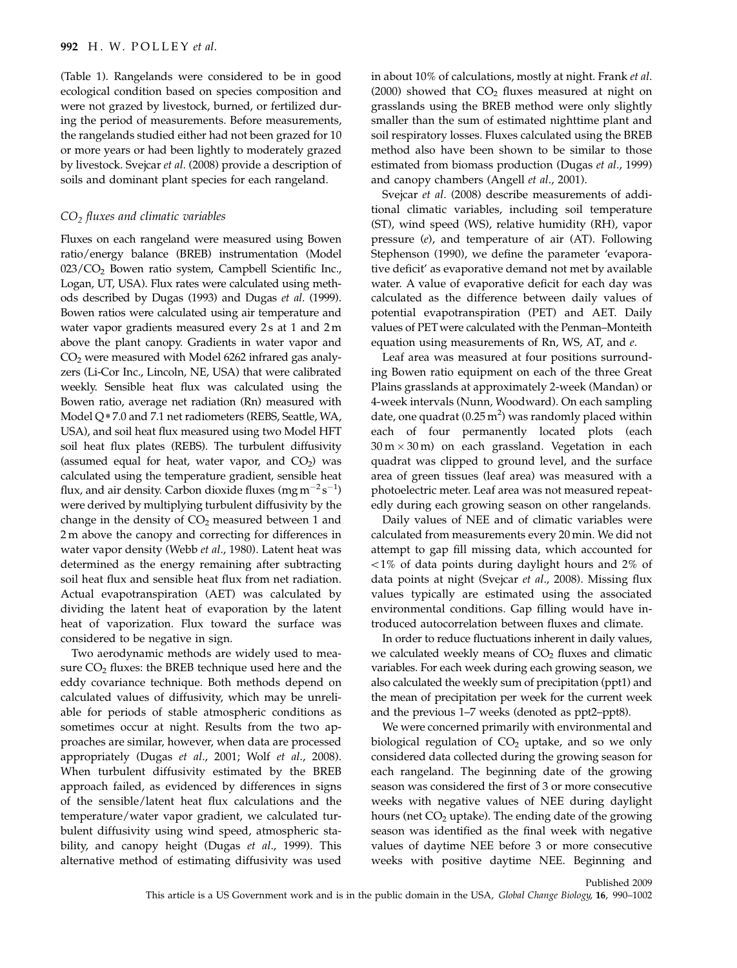(Table 1). Rangelands were considered to be in good ecological condition based on species composition and were not grazed by livestock, burned, or fertilized during the period of measurements. Before measurements, the rangelands studied either had not been grazed for 10 or more years or had been lightly to moderately grazed by livestock. Svejcar et al. (2008) provide a description of soils and dominant plant species for each rangeland.

### $CO<sub>2</sub>$  fluxes and climatic variables

Fluxes on each rangeland were measured using Bowen ratio/energy balance (BREB) instrumentation (Model 023/CO<sub>2</sub> Bowen ratio system, Campbell Scientific Inc., Logan, UT, USA). Flux rates were calculated using methods described by Dugas (1993) and Dugas et al. (1999). Bowen ratios were calculated using air temperature and water vapor gradients measured every 2s at 1 and 2 m above the plant canopy. Gradients in water vapor and  $CO<sub>2</sub>$  were measured with Model 6262 infrared gas analyzers (Li-Cor Inc., Lincoln, NE, USA) that were calibrated weekly. Sensible heat flux was calculated using the Bowen ratio, average net radiation (Rn) measured with Model Q\*7.0 and 7.1 net radiometers (REBS, Seattle, WA, USA), and soil heat flux measured using two Model HFT soil heat flux plates (REBS). The turbulent diffusivity (assumed equal for heat, water vapor, and  $CO<sub>2</sub>$ ) was calculated using the temperature gradient, sensible heat flux, and air density. Carbon dioxide fluxes (mg m $^{-2}\rm s^{-1})$ were derived by multiplying turbulent diffusivity by the change in the density of  $CO<sub>2</sub>$  measured between 1 and 2 m above the canopy and correcting for differences in water vapor density (Webb et al., 1980). Latent heat was determined as the energy remaining after subtracting soil heat flux and sensible heat flux from net radiation. Actual evapotranspiration (AET) was calculated by dividing the latent heat of evaporation by the latent heat of vaporization. Flux toward the surface was considered to be negative in sign.

Two aerodynamic methods are widely used to measure  $CO<sub>2</sub>$  fluxes: the BREB technique used here and the eddy covariance technique. Both methods depend on calculated values of diffusivity, which may be unreliable for periods of stable atmospheric conditions as sometimes occur at night. Results from the two approaches are similar, however, when data are processed appropriately (Dugas et al., 2001; Wolf et al., 2008). When turbulent diffusivity estimated by the BREB approach failed, as evidenced by differences in signs of the sensible/latent heat flux calculations and the temperature/water vapor gradient, we calculated turbulent diffusivity using wind speed, atmospheric stability, and canopy height (Dugas et al., 1999). This alternative method of estimating diffusivity was used

in about 10% of calculations, mostly at night. Frank et al. (2000) showed that  $CO<sub>2</sub>$  fluxes measured at night on grasslands using the BREB method were only slightly smaller than the sum of estimated nighttime plant and soil respiratory losses. Fluxes calculated using the BREB method also have been shown to be similar to those estimated from biomass production (Dugas et al., 1999) and canopy chambers (Angell et al., 2001).

Svejcar et al. (2008) describe measurements of additional climatic variables, including soil temperature (ST), wind speed (WS), relative humidity (RH), vapor pressure (e), and temperature of air (AT). Following Stephenson (1990), we define the parameter 'evaporative deficit' as evaporative demand not met by available water. A value of evaporative deficit for each day was calculated as the difference between daily values of potential evapotranspiration (PET) and AET. Daily values of PETwere calculated with the Penman–Monteith equation using measurements of Rn, WS, AT, and e.

Leaf area was measured at four positions surrounding Bowen ratio equipment on each of the three Great Plains grasslands at approximately 2-week (Mandan) or 4-week intervals (Nunn, Woodward). On each sampling date, one quadrat (0.25 m<sup>2</sup>) was randomly placed within each of four permanently located plots (each  $30 \text{ m} \times 30 \text{ m}$ ) on each grassland. Vegetation in each quadrat was clipped to ground level, and the surface area of green tissues (leaf area) was measured with a photoelectric meter. Leaf area was not measured repeatedly during each growing season on other rangelands.

Daily values of NEE and of climatic variables were calculated from measurements every 20 min. We did not attempt to gap fill missing data, which accounted for  $1\%$  of data points during daylight hours and 2% of data points at night (Svejcar et al., 2008). Missing flux values typically are estimated using the associated environmental conditions. Gap filling would have introduced autocorrelation between fluxes and climate.

In order to reduce fluctuations inherent in daily values, we calculated weekly means of  $CO<sub>2</sub>$  fluxes and climatic variables. For each week during each growing season, we also calculated the weekly sum of precipitation (ppt1) and the mean of precipitation per week for the current week and the previous 1–7 weeks (denoted as ppt2–ppt8).

We were concerned primarily with environmental and biological regulation of  $CO<sub>2</sub>$  uptake, and so we only considered data collected during the growing season for each rangeland. The beginning date of the growing season was considered the first of 3 or more consecutive weeks with negative values of NEE during daylight hours (net  $CO<sub>2</sub>$  uptake). The ending date of the growing season was identified as the final week with negative values of daytime NEE before 3 or more consecutive weeks with positive daytime NEE. Beginning and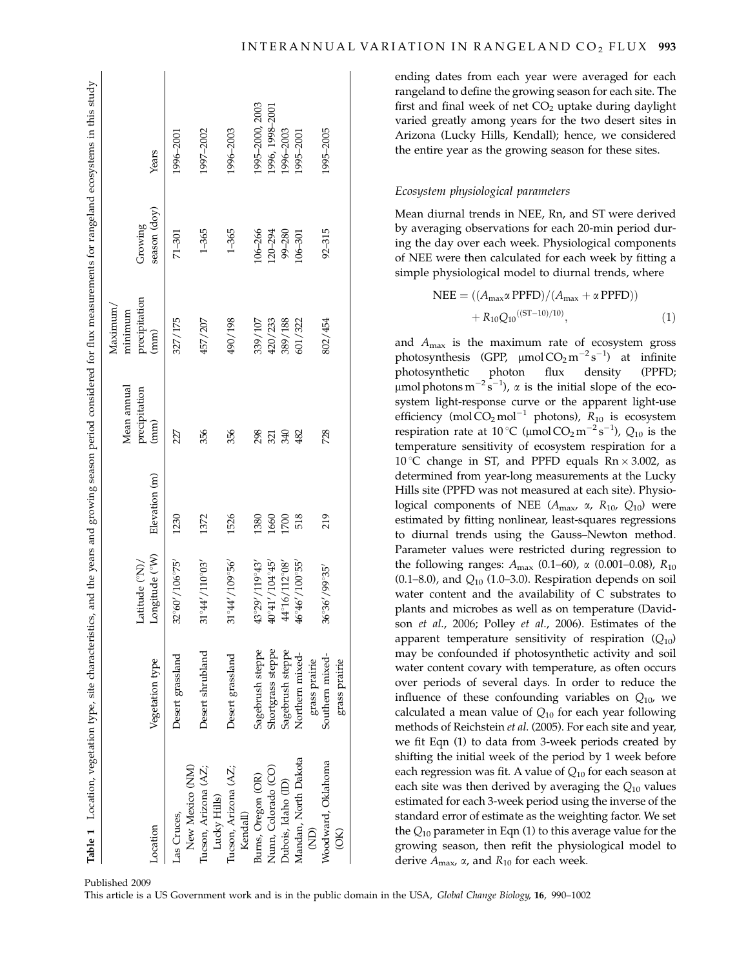| Table 1 Location, vegetation type, site characteristics, and the years and growing season period considered for flux measurements for rangeland ecosystems in this study |                   |                                |               |                              |                                      |              |                 |
|--------------------------------------------------------------------------------------------------------------------------------------------------------------------------|-------------------|--------------------------------|---------------|------------------------------|--------------------------------------|--------------|-----------------|
|                                                                                                                                                                          |                   | Latitude (°N)/                 |               | Mean annual<br>precipitation | precipitation<br>Maximum/<br>minimum | Growing      |                 |
| Location                                                                                                                                                                 | Vegetation type   | Longitude (°W)                 | Elevation (m) | (mm)                         | (mm)                                 | season (doy) | Years           |
| Las Cruces,                                                                                                                                                              | Desert grassland  | 32°60'/106°75'                 | 1230          | 227                          | 327/175                              | $71 - 301$   | 1996-2001       |
| New Mexico (NM)                                                                                                                                                          |                   |                                |               |                              |                                      |              |                 |
| Tucson, Arizona (AZ;                                                                                                                                                     | Desert shrubland  | $31^{\circ}44'/110^{\circ}03'$ | 1372          | 356                          | 457/207                              | $1 - 365$    | 1997-2002       |
| Lucky Hills)                                                                                                                                                             |                   |                                |               |                              |                                      |              |                 |
| Tucson, Arizona (AZ;                                                                                                                                                     | Desert grassland  | $31^{\circ}44'/109^{\circ}56'$ | 1526          | 356                          | 490/198                              | $1 - 365$    | 1996-2003       |
| Kendall)                                                                                                                                                                 |                   |                                |               |                              |                                      |              |                 |
| Burns, Oregon (OR)                                                                                                                                                       | Sagebrush steppe  | 43°29'/119°43'                 | 380           | 298                          | 339/107                              | $106 - 266$  | 1995-2000, 2003 |
| Nunn, Colorado (CO)                                                                                                                                                      | Shortgrass steppe | $40^{\circ}41'/104^{\circ}45'$ | 1660          | 321                          | 420/233                              | $120 - 294$  | 1996, 1998-2001 |
| Dubois, Idaho (ID)                                                                                                                                                       | Sagebrush steppe  | 44°16/112°08′                  | <b>POO</b>    | 340                          | 389/188                              | 99-280       | 1996-2003       |
| Mandan, North Dakota                                                                                                                                                     | Northern mixed-   | 46°46'/100°55'                 | 518           | 482                          | 601/322                              | $106 - 301$  | 1995-2001       |
| ĝ                                                                                                                                                                        | grass prairie     |                                |               |                              |                                      |              |                 |
| Woodward, Oklahoma                                                                                                                                                       | Southern mixed-   | $36^{\circ}36'/99^{\circ}35'$  | 219           | 728                          | 802/454                              | $92 - 315$   | 1995-2005       |
| $\frac{1}{2}$                                                                                                                                                            | grass prairie     |                                |               |                              |                                      |              |                 |

ending dates from each year were averaged for each rangeland to define the growing season for each site. The first and final week of net  $CO<sub>2</sub>$  uptake during daylight varied greatly among years for the two desert sites in Arizona (Lucky Hills, Kendall); hence, we considered the entire year as the growing season for these sites.

## Ecosystem physiological parameters

Mean diurnal trends in NEE, Rn, and ST were derived by averaging observations for each 20-min period during the day over each week. Physiological components of NEE were then calculated for each week by fitting a simple physiological model to diurnal trends, where

NEE = 
$$
((A_{\text{max}} \alpha \text{PPFD})/(A_{\text{max}} + \alpha \text{PPFD}))
$$
  
+  $R_{10}Q_{10}^{((ST-10)/10)}$ , (1)

and  $A_{\text{max}}$  is the maximum rate of ecosystem gross photosynthesis (GPP,  $\mu$ mol CO<sub>2</sub> m<sup>-2</sup>s<sup>-1</sup>) at infinite photosynthetic photon flux density (PPFD;  $\mu$ mol photons m<sup>-2</sup>s<sup>-1</sup>),  $\alpha$  is the initial slope of the ecosystem light-response curve or the apparent light-use efficiency (mol $CO_2$  mol<sup>-1</sup> photons),  $R_{10}$  is ecosystem respiration rate at 10 °C ( $\mu$ mol CO<sub>2</sub> m<sup>-2</sup> s<sup>-1</sup>), Q<sub>10</sub> is the temperature sensitivity of ecosystem respiration for a 10 °C change in ST, and PPFD equals  $\text{Rn} \times 3.002$ , as determined from year-long measurements at the Lucky Hills site (PPFD was not measured at each site). Physiological components of NEE ( $A_{\text{max}}$ ,  $\alpha$ ,  $R_{10}$ ,  $Q_{10}$ ) were estimated by fitting nonlinear, least-squares regressions to diurnal trends using the Gauss–Newton method. Parameter values were restricted during regression to the following ranges:  $A_{\text{max}}$  (0.1–60),  $\alpha$  (0.001–0.08),  $R_{10}$  $(0.1–8.0)$ , and  $Q_{10}$  (1.0–3.0). Respiration depends on soil water content and the availability of C substrates to plants and microbes as well as on temperature (Davidson et al., 2006; Polley et al., 2006). Estimates of the apparent temperature sensitivity of respiration  $(Q_{10})$ may be confounded if photosynthetic activity and soil water content covary with temperature, as often occurs over periods of several days. In order to reduce the influence of these confounding variables on  $Q_{10}$ , we calculated a mean value of  $Q_{10}$  for each year following methods of Reichstein et al. (2005). For each site and year, we fit Eqn (1) to data from 3-week periods created by shifting the initial week of the period by 1 week before each regression was fit. A value of  $Q_{10}$  for each season at each site was then derived by averaging the  $Q_{10}$  values estimated for each 3-week period using the inverse of the standard error of estimate as the weighting factor. We set the  $Q_{10}$  parameter in Eqn (1) to this average value for the growing season, then refit the physiological model to derive  $A_{\text{max}}$ ,  $\alpha$ , and  $R_{10}$  for each week.

Published 2009

This article is a US Government work and is in the public domain in the USA, Global Change Biology, 16, 990–1002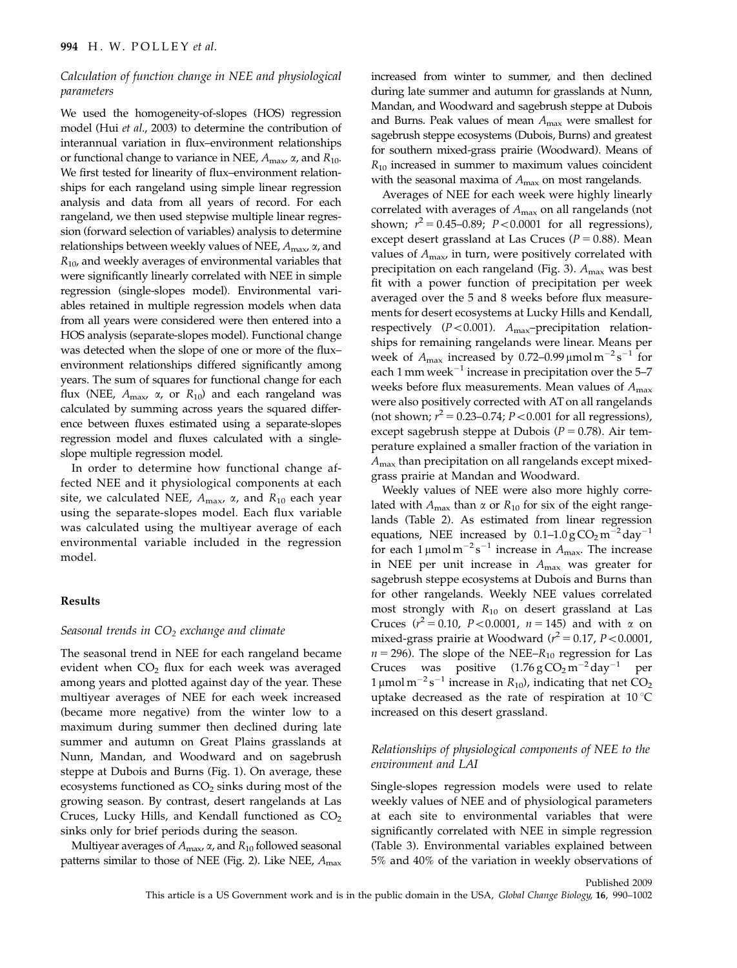# Calculation of function change in NEE and physiological parameters

We used the homogeneity-of-slopes (HOS) regression model (Hui et al., 2003) to determine the contribution of interannual variation in flux–environment relationships or functional change to variance in NEE,  $A_{\text{max}}$ ,  $\alpha$ , and  $R_{10}$ . We first tested for linearity of flux–environment relationships for each rangeland using simple linear regression analysis and data from all years of record. For each rangeland, we then used stepwise multiple linear regression (forward selection of variables) analysis to determine relationships between weekly values of NEE,  $A_{\text{max}}$ ,  $\alpha$ , and  $R_{10}$ , and weekly averages of environmental variables that were significantly linearly correlated with NEE in simple regression (single-slopes model). Environmental variables retained in multiple regression models when data from all years were considered were then entered into a HOS analysis (separate-slopes model). Functional change was detected when the slope of one or more of the flux– environment relationships differed significantly among years. The sum of squares for functional change for each flux (NEE,  $A_{\text{max}}$ ,  $\alpha$ , or  $R_{10}$ ) and each rangeland was calculated by summing across years the squared difference between fluxes estimated using a separate-slopes regression model and fluxes calculated with a singleslope multiple regression model.

In order to determine how functional change affected NEE and it physiological components at each site, we calculated NEE,  $A_{\text{max}}$ ,  $\alpha$ , and  $R_{10}$  each year using the separate-slopes model. Each flux variable was calculated using the multiyear average of each environmental variable included in the regression model.

## Results

## Seasonal trends in  $CO<sub>2</sub>$  exchange and climate

The seasonal trend in NEE for each rangeland became evident when  $CO<sub>2</sub>$  flux for each week was averaged among years and plotted against day of the year. These multiyear averages of NEE for each week increased (became more negative) from the winter low to a maximum during summer then declined during late summer and autumn on Great Plains grasslands at Nunn, Mandan, and Woodward and on sagebrush steppe at Dubois and Burns (Fig. 1). On average, these ecosystems functioned as  $CO<sub>2</sub>$  sinks during most of the growing season. By contrast, desert rangelands at Las Cruces, Lucky Hills, and Kendall functioned as  $CO<sub>2</sub>$ sinks only for brief periods during the season.

Multiyear averages of  $A_{\text{max}}$ ,  $\alpha$ , and  $R_{10}$  followed seasonal patterns similar to those of NEE (Fig. 2). Like NEE,  $A_{\text{max}}$  increased from winter to summer, and then declined during late summer and autumn for grasslands at Nunn, Mandan, and Woodward and sagebrush steppe at Dubois and Burns. Peak values of mean  $A_{\text{max}}$  were smallest for sagebrush steppe ecosystems (Dubois, Burns) and greatest for southern mixed-grass prairie (Woodward). Means of  $R_{10}$  increased in summer to maximum values coincident with the seasonal maxima of  $A_{\text{max}}$  on most rangelands.

Averages of NEE for each week were highly linearly correlated with averages of  $A_{\text{max}}$  on all rangelands (not shown;  $r^2 = 0.45{\text -}0.89$ ;  $P < 0.0001$  for all regressions), except desert grassland at Las Cruces ( $P = 0.88$ ). Mean values of  $A_{\text{max}}$ , in turn, were positively correlated with precipitation on each rangeland (Fig. 3).  $A_{\text{max}}$  was best fit with a power function of precipitation per week averaged over the 5 and 8 weeks before flux measurements for desert ecosystems at Lucky Hills and Kendall, respectively ( $P < 0.001$ ).  $A_{\text{max}}$ -precipitation relationships for remaining rangelands were linear. Means per week of  $A_{\text{max}}$  increased by 0.72–0.99  $\mu$ mol m<sup>-2</sup>s<sup>-1</sup> for each 1 mm week $^{-1}$  increase in precipitation over the 5–7 weeks before flux measurements. Mean values of  $A_{\text{max}}$ were also positively corrected with AT on all rangelands (not shown;  $r^2 = 0.23 - 0.74$ ;  $P < 0.001$  for all regressions), except sagebrush steppe at Dubois ( $P = 0.78$ ). Air temperature explained a smaller fraction of the variation in  $A_{\text{max}}$  than precipitation on all rangelands except mixedgrass prairie at Mandan and Woodward.

Weekly values of NEE were also more highly correlated with  $A_{\text{max}}$  than  $\alpha$  or  $R_{10}$  for six of the eight rangelands (Table 2). As estimated from linear regression equations, NEE increased by  $0.1-1.0\,\text{g}\,\text{CO}_2\,\text{m}^{-2}\,\text{day}^{-1}$ for each  $1 \mu$ mol m<sup>-2</sup>s<sup>-1</sup> increase in  $A_{\text{max}}$ . The increase in NEE per unit increase in  $A_{\text{max}}$  was greater for sagebrush steppe ecosystems at Dubois and Burns than for other rangelands. Weekly NEE values correlated most strongly with  $R_{10}$  on desert grassland at Las Cruces ( $r^2 = 0.10$ ,  $P < 0.0001$ ,  $n = 145$ ) and with  $\alpha$  on mixed-grass prairie at Woodward ( $r^2$  = 0.17, P < 0.0001,  $n = 296$ ). The slope of the NEE– $R_{10}$  regression for Las Cruces was positive  $(1.76 \text{ g } CO_2 \text{ m}^{-2} \text{ day}^{-1})$ <sup>1</sup> per 1 µmol m<sup>-2</sup> s<sup>-1</sup> increase in  $R_{10}$ ), indicating that net CO<sub>2</sub> uptake decreased as the rate of respiration at  $10^{\circ}$ C increased on this desert grassland.

# Relationships of physiological components of NEE to the environment and LAI

Single-slopes regression models were used to relate weekly values of NEE and of physiological parameters at each site to environmental variables that were significantly correlated with NEE in simple regression (Table 3). Environmental variables explained between 5% and 40% of the variation in weekly observations of

Published 2009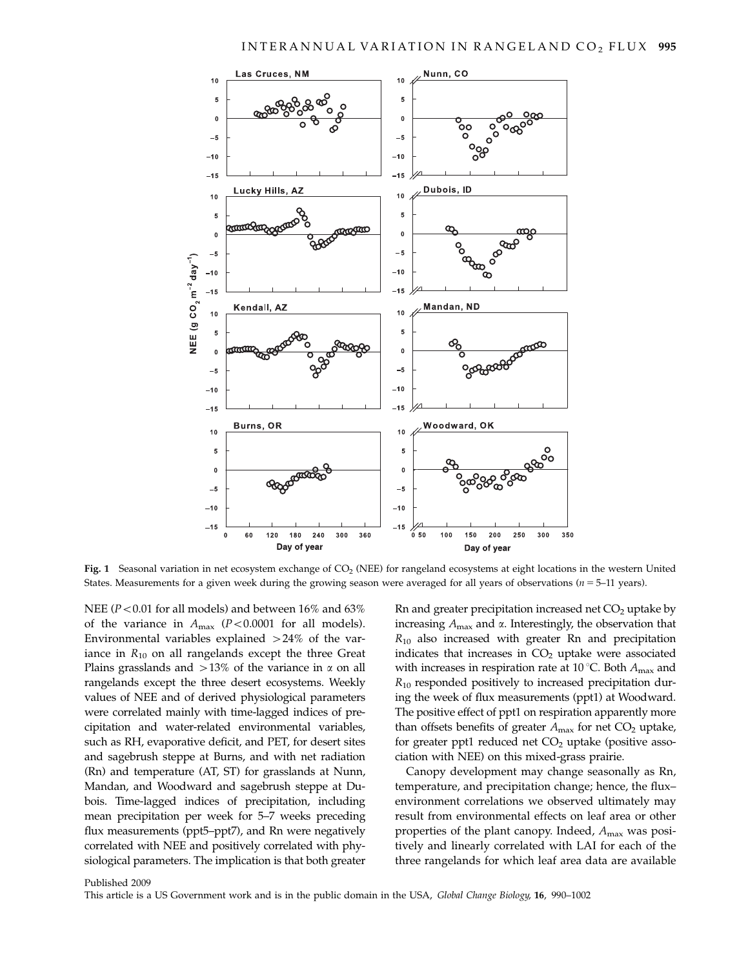

Fig. 1 Seasonal variation in net ecosystem exchange of  $CO<sub>2</sub>$  (NEE) for rangeland ecosystems at eight locations in the western United States. Measurements for a given week during the growing season were averaged for all years of observations ( $n = 5-11$  years).

NEE ( $P < 0.01$  for all models) and between 16% and 63% of the variance in  $A_{\text{max}}$  (P < 0.0001 for all models). Environmental variables explained  $>24\%$  of the variance in  $R_{10}$  on all rangelands except the three Great Plains grasslands and  $>13\%$  of the variance in  $\alpha$  on all rangelands except the three desert ecosystems. Weekly values of NEE and of derived physiological parameters were correlated mainly with time-lagged indices of precipitation and water-related environmental variables, such as RH, evaporative deficit, and PET, for desert sites and sagebrush steppe at Burns, and with net radiation (Rn) and temperature (AT, ST) for grasslands at Nunn, Mandan, and Woodward and sagebrush steppe at Dubois. Time-lagged indices of precipitation, including mean precipitation per week for 5–7 weeks preceding flux measurements (ppt5–ppt7), and Rn were negatively correlated with NEE and positively correlated with physiological parameters. The implication is that both greater

Rn and greater precipitation increased net  $CO<sub>2</sub>$  uptake by increasing  $A_{\rm max}$  and  $\alpha.$  Interestingly, the observation that  $R_{10}$  also increased with greater Rn and precipitation indicates that increases in  $CO<sub>2</sub>$  uptake were associated with increases in respiration rate at 10 °C. Both  $A_{\text{max}}$  and  $R_{10}$  responded positively to increased precipitation during the week of flux measurements (ppt1) at Woodward. The positive effect of ppt1 on respiration apparently more than offsets benefits of greater  $A_{\text{max}}$  for net CO<sub>2</sub> uptake, for greater ppt1 reduced net  $CO<sub>2</sub>$  uptake (positive association with NEE) on this mixed-grass prairie.

Canopy development may change seasonally as Rn, temperature, and precipitation change; hence, the flux– environment correlations we observed ultimately may result from environmental effects on leaf area or other properties of the plant canopy. Indeed,  $A_{\text{max}}$  was positively and linearly correlated with LAI for each of the three rangelands for which leaf area data are available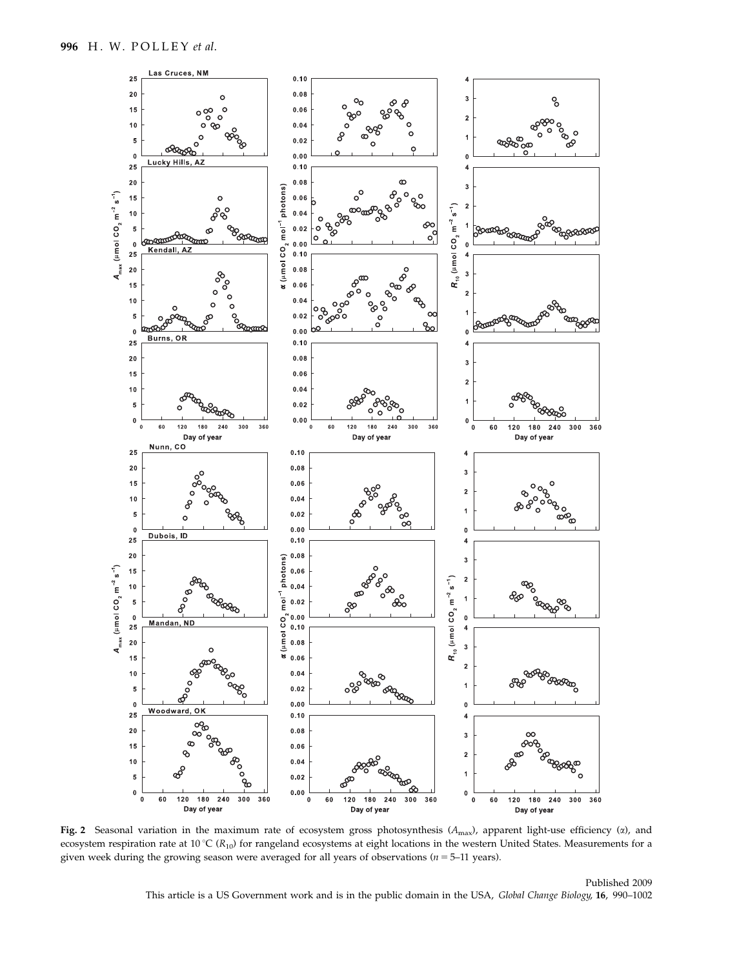

Fig. 2 Seasonal variation in the maximum rate of ecosystem gross photosynthesis  $(A_{\text{max}})$ , apparent light-use efficiency ( $\alpha$ ), and ecosystem respiration rate at  $10^{\circ}C(R_{10})$  for rangeland ecosystems at eight locations in the western United States. Measurements for a given week during the growing season were averaged for all years of observations ( $n = 5$ –11 years).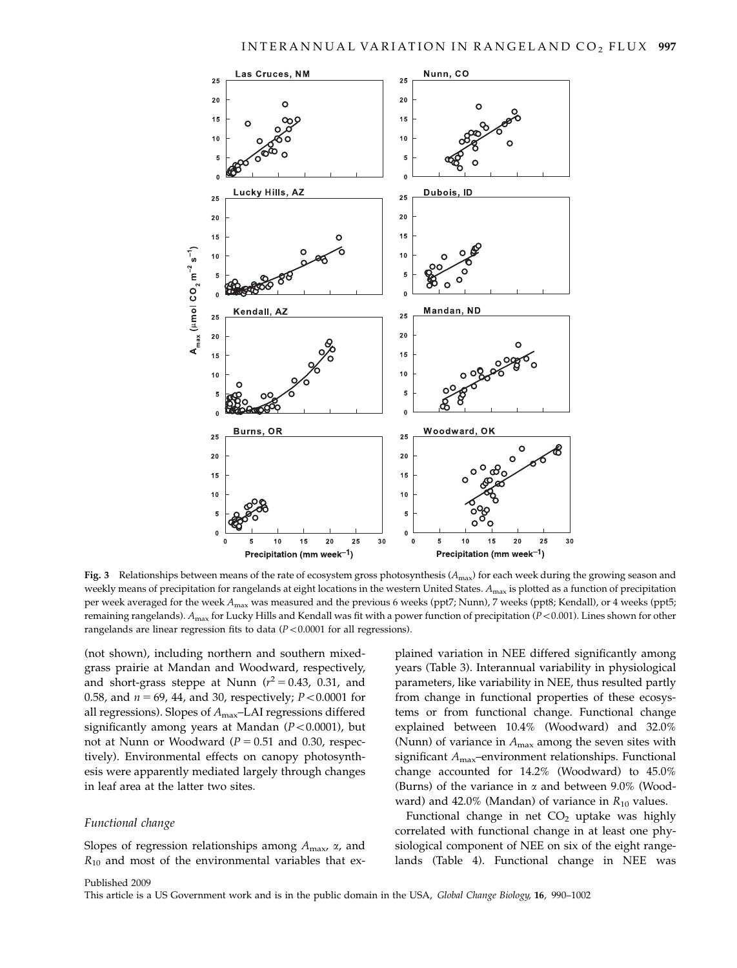

Fig. 3 Relationships between means of the rate of ecosystem gross photosynthesis  $(A_{\text{max}})$  for each week during the growing season and weekly means of precipitation for rangelands at eight locations in the western United States.  $A_{\text{max}}$  is plotted as a function of precipitation per week averaged for the week  $A_{\text{max}}$  was measured and the previous 6 weeks (ppt7; Nunn), 7 weeks (ppt8; Kendall), or 4 weeks (ppt5; remaining rangelands).  $A_{\text{max}}$  for Lucky Hills and Kendall was fit with a power function of precipitation ( $P < 0.001$ ). Lines shown for other rangelands are linear regression fits to data  $(P<0.0001$  for all regressions).

(not shown), including northern and southern mixedgrass prairie at Mandan and Woodward, respectively, and short-grass steppe at Nunn  $(r^2 = 0.43, 0.31,$  and 0.58, and  $n = 69$ , 44, and 30, respectively;  $P < 0.0001$  for all regressions). Slopes of  $A_{\text{max}}$ –LAI regressions differed significantly among years at Mandan  $(P<0.0001)$ , but not at Nunn or Woodward ( $P = 0.51$  and 0.30, respectively). Environmental effects on canopy photosynthesis were apparently mediated largely through changes in leaf area at the latter two sites.

#### Functional change

Slopes of regression relationships among  $A_{\text{max}}$ ,  $\alpha$ , and  $R_{10}$  and most of the environmental variables that ex-

plained variation in NEE differed significantly among years (Table 3). Interannual variability in physiological parameters, like variability in NEE, thus resulted partly from change in functional properties of these ecosystems or from functional change. Functional change explained between 10.4% (Woodward) and 32.0% (Nunn) of variance in  $A_{\text{max}}$  among the seven sites with significant Amax–environment relationships. Functional change accounted for 14.2% (Woodward) to 45.0% (Burns) of the variance in  $\alpha$  and between 9.0% (Woodward) and 42.0% (Mandan) of variance in  $R_{10}$  values.

Functional change in net  $CO<sub>2</sub>$  uptake was highly correlated with functional change in at least one physiological component of NEE on six of the eight rangelands (Table 4). Functional change in NEE was

#### Published 2009

This article is a US Government work and is in the public domain in the USA, Global Change Biology, 16, 990–1002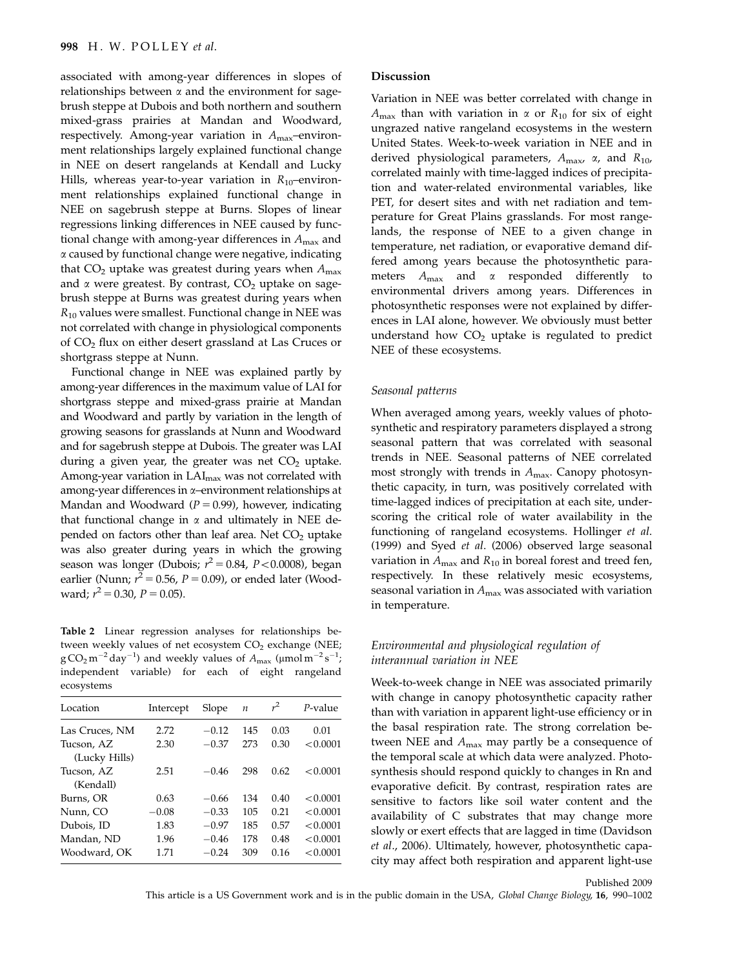associated with among-year differences in slopes of relationships between  $\alpha$  and the environment for sagebrush steppe at Dubois and both northern and southern mixed-grass prairies at Mandan and Woodward, respectively. Among-year variation in  $A_{\text{max}}$ -environment relationships largely explained functional change in NEE on desert rangelands at Kendall and Lucky Hills, whereas year-to-year variation in  $R_{10}$ –environment relationships explained functional change in NEE on sagebrush steppe at Burns. Slopes of linear regressions linking differences in NEE caused by functional change with among-year differences in  $A_{\text{max}}$  and a caused by functional change were negative, indicating that  $CO<sub>2</sub>$  uptake was greatest during years when  $A<sub>max</sub>$ and  $\alpha$  were greatest. By contrast,  $CO<sub>2</sub>$  uptake on sagebrush steppe at Burns was greatest during years when  $R_{10}$  values were smallest. Functional change in NEE was not correlated with change in physiological components of CO2 flux on either desert grassland at Las Cruces or shortgrass steppe at Nunn.

Functional change in NEE was explained partly by among-year differences in the maximum value of LAI for shortgrass steppe and mixed-grass prairie at Mandan and Woodward and partly by variation in the length of growing seasons for grasslands at Nunn and Woodward and for sagebrush steppe at Dubois. The greater was LAI during a given year, the greater was net  $CO<sub>2</sub>$  uptake. Among-year variation in LAI<sub>max</sub> was not correlated with among-year differences in a–environment relationships at Mandan and Woodward ( $P = 0.99$ ), however, indicating that functional change in  $\alpha$  and ultimately in NEE depended on factors other than leaf area. Net  $CO<sub>2</sub>$  uptake was also greater during years in which the growing season was longer (Dubois;  $r^2 = 0.84$ ,  $P < 0.0008$ ), began earlier (Nunn;  $r^2 = 0.56$ ,  $P = 0.09$ ), or ended later (Woodward;  $r^2 = 0.30$ ,  $P = 0.05$ ).

Table 2 Linear regression analyses for relationships between weekly values of net ecosystem  $CO<sub>2</sub>$  exchange (NEE;  $\rm g\,CO_2\,m^{-2}\,day^{-1})$  and weekly values of  $A_{\rm max}$  (µmol $\rm m^{-2}\,s^{-1};$ independent variable) for each of eight rangeland ecosystems

| Location       | Intercept | Slope   | $\boldsymbol{n}$ | $r^2$ | P-value  |
|----------------|-----------|---------|------------------|-------|----------|
| Las Cruces, NM | 2.72      | $-0.12$ | 145              | 0.03  | 0.01     |
| Tucson, AZ     | 2.30      | $-0.37$ | 273              | 0.30  | < 0.0001 |
| (Lucky Hills)  |           |         |                  |       |          |
| Tucson, AZ     | 2.51      | $-0.46$ | 298              | 0.62  | < 0.0001 |
| (Kendall)      |           |         |                  |       |          |
| Burns, OR      | 0.63      | $-0.66$ | 134              | 0.40  | < 0.0001 |
| Nunn, CO       | $-0.08$   | $-0.33$ | 105              | 0.21  | < 0.0001 |
| Dubois, ID     | 1.83      | $-0.97$ | 185              | 0.57  | < 0.0001 |
| Mandan, ND     | 1.96      | $-0.46$ | 178              | 0.48  | < 0.0001 |
| Woodward. OK   | 1.71      | $-0.24$ | 309              | 0.16  | < 0.0001 |

#### Discussion

Variation in NEE was better correlated with change in  $A_{\text{max}}$  than with variation in  $\alpha$  or  $R_{10}$  for six of eight ungrazed native rangeland ecosystems in the western United States. Week-to-week variation in NEE and in derived physiological parameters,  $A_{\text{max}}$ ,  $\alpha$ , and  $R_{10}$ , correlated mainly with time-lagged indices of precipitation and water-related environmental variables, like PET, for desert sites and with net radiation and temperature for Great Plains grasslands. For most rangelands, the response of NEE to a given change in temperature, net radiation, or evaporative demand differed among years because the photosynthetic parameters  $A_{\text{max}}$  and  $\alpha$  responded differently environmental drivers among years. Differences in photosynthetic responses were not explained by differences in LAI alone, however. We obviously must better understand how  $CO<sub>2</sub>$  uptake is regulated to predict NEE of these ecosystems.

## Seasonal patterns

When averaged among years, weekly values of photosynthetic and respiratory parameters displayed a strong seasonal pattern that was correlated with seasonal trends in NEE. Seasonal patterns of NEE correlated most strongly with trends in  $A_{\text{max}}$ . Canopy photosynthetic capacity, in turn, was positively correlated with time-lagged indices of precipitation at each site, underscoring the critical role of water availability in the functioning of rangeland ecosystems. Hollinger et al. (1999) and Syed et al. (2006) observed large seasonal variation in  $A_{\text{max}}$  and  $R_{10}$  in boreal forest and treed fen, respectively. In these relatively mesic ecosystems, seasonal variation in  $A_{\text{max}}$  was associated with variation in temperature.

## Environmental and physiological regulation of interannual variation in NEE

Week-to-week change in NEE was associated primarily with change in canopy photosynthetic capacity rather than with variation in apparent light-use efficiency or in the basal respiration rate. The strong correlation between NEE and  $A_{\text{max}}$  may partly be a consequence of the temporal scale at which data were analyzed. Photosynthesis should respond quickly to changes in Rn and evaporative deficit. By contrast, respiration rates are sensitive to factors like soil water content and the availability of C substrates that may change more slowly or exert effects that are lagged in time (Davidson et al., 2006). Ultimately, however, photosynthetic capacity may affect both respiration and apparent light-use

Published 2009 This article is a US Government work and is in the public domain in the USA, Global Change Biology, 16, 990–1002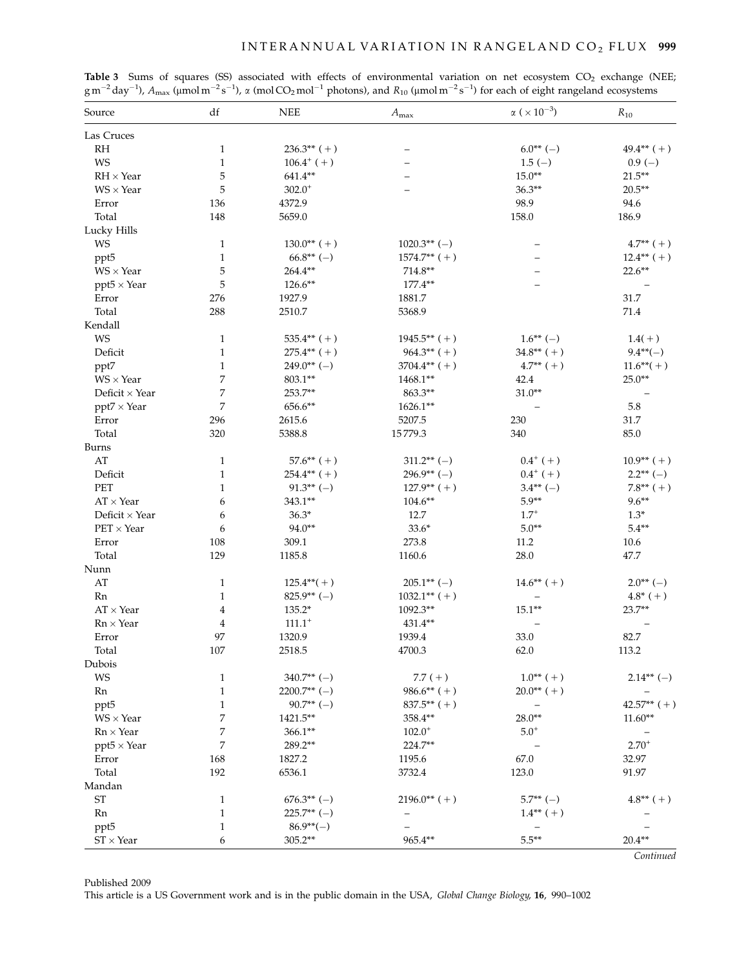| Source                | df           | $\rm{NEE}$      | $A_{\text{max}}$ | $\alpha$ ( $\times\,10^{-3})$ | $R_{10}$      |
|-----------------------|--------------|-----------------|------------------|-------------------------------|---------------|
| Las Cruces            |              |                 |                  |                               |               |
| RH                    | $\mathbf{1}$ | $236.3**$ (+)   |                  | $6.0**(-)$                    | $49.4***$ (+) |
| <b>WS</b>             | $\mathbf{1}$ | $106.4^{+}$ (+) |                  | $1.5(-)$                      | $0.9(-)$      |
| $RH \times Year$      | 5            | $641.4**$       |                  | $15.0**$                      | $21.5***$     |
| $WS \times Year$      | 5            | $302.0^{+}$     |                  | $36.3**$                      | $20.5**$      |
| Error                 | 136          | 4372.9          |                  | 98.9                          | 94.6          |
| Total                 | 148          | 5659.0          |                  | 158.0                         | 186.9         |
| Lucky Hills           |              |                 |                  |                               |               |
| <b>WS</b>             | $\mathbf{1}$ | $130.0**$ (+)   | $1020.3**(-)$    |                               | $4.7**$ (+)   |
| ppt5                  | $\mathbf{1}$ | $66.8**(-)$     | $1574.7**$ (+)   |                               | $12.4***$ (+) |
| $WS \times Year$      | 5            | $264.4***$      | $714.8**$        |                               | $22.6***$     |
| $ppt5 \times Year$    | 5            | 126.6**         | $177.4**$        |                               |               |
| Error                 | 276          | 1927.9          | 1881.7           |                               | 31.7          |
| Total                 | 288          | 2510.7          | 5368.9           |                               | 71.4          |
| Kendall               |              |                 |                  |                               |               |
| <b>WS</b>             | $\mathbf{1}$ | $535.4**$ (+)   | $1945.5**$ (+)   | $1.6**(-)$                    | $1.4(+)$      |
| Deficit               | $\mathbf{1}$ | $275.4**$ (+)   | $964.3**$ (+)    | $34.8**$ (+)                  | $9.4**(-)$    |
| ppt7                  | $\mathbf{1}$ | $249.0**(-)$    | $3704.4**$ (+)   | $4.7**$ (+)                   | $11.6**(+)$   |
| $WS \times Year$      | 7            | $803.1***$      | $1468.1***$      | 42.4                          | $25.0**$      |
| Deficit $\times$ Year | 7            | 253.7**         | 863.3**          | $31.0**$                      |               |
| $ppt7 \times Year$    | 7            | 656.6**         | $1626.1***$      |                               | 5.8           |
| Error                 | 296          | 2615.6          | 5207.5           | 230                           | 31.7          |
| Total                 | 320          | 5388.8          | 15779.3          | 340                           | 85.0          |
| Burns                 |              |                 |                  |                               |               |
| AT                    | $\mathbf{1}$ | $57.6**$ (+)    | $311.2** (-)$    | $0.4^{+}$ (+)                 | $10.9**$ (+)  |
| Deficit               | $\mathbf{1}$ | $254.4**$ (+)   | $296.9**(-)$     | $0.4^{+}$ (+)                 | $2.2**(-)$    |
| PET                   | $\mathbf{1}$ | $91.3**(-)$     | $127.9**$ (+)    | $3.4**(-)$                    | $7.8***$ (+)  |
| $AT \times Year$      | 6            | $343.1***$      | $104.6**$        | $5.9**$                       | $9.6***$      |
| Deficit $\times$ Year | 6            | $36.3*$         | 12.7             | $1.7^{+}$                     | $1.3*$        |
| $PET \times Year$     | 6            | 94.0**          | $33.6*$          | $5.0**$                       | $5.4**$       |
| Error                 | 108          | 309.1           | 273.8            | 11.2                          | 10.6          |
| Total                 | 129          | 1185.8          | 1160.6           | 28.0                          | 47.7          |
| Nunn                  |              |                 |                  |                               |               |
| AT                    | $\mathbf{1}$ | $125.4**(+)$    | $205.1**(-)$     | $14.6**$ (+)                  | $2.0**(-)$    |
| Rn                    | $\mathbf{1}$ | $825.9**(-)$    | $1032.1**$ (+)   |                               | $4.8*$ (+)    |
| $AT \times Year$      | 4            | 135.2*          | 1092.3**         | $15.1**$                      | $23.7**$      |
| $Rn \times Year$      | $\bf 4$      | $111.1^+$       | 431.4**          |                               |               |
| Error                 | 97           | 1320.9          | 1939.4           | 33.0                          | 82.7          |
| Total                 | 107          | 2518.5          | 4700.3           | 62.0                          | 113.2         |
| Dubois                |              |                 |                  |                               |               |
| WS                    | $\mathbf{1}$ | $340.7** (-)$   | $7.7(+)$         | $1.0^{**}$ (+)                | $2.14***$ (-) |
| Rn                    | $\mathbf{1}$ | $2200.7**$ (-)  | $986.6**$ (+)    | $20.0**$ (+)                  |               |
| ppt <sub>5</sub>      | $\mathbf{1}$ | $90.7**(-)$     | $837.5**$ (+)    |                               | $42.57**$ (+) |
| $WS \times Year$      | 7            | 1421.5**        | 358.4**          | $28.0**$                      | $11.60**$     |
| $Rn \times Year$      | 7            | $366.1**$       | $102.0^{+}$      | $5.0^{+}$                     |               |
| $ppt5 \times Year$    | 7            | 289.2**         | 224.7**          |                               | $2.70^{+}$    |
| Error                 | 168          | 1827.2          | 1195.6           | 67.0                          | 32.97         |
| Total                 | 192          | 6536.1          | 3732.4           | 123.0                         | 91.97         |
| Mandan                |              |                 |                  |                               |               |
| <b>ST</b>             | $\mathbf{1}$ | $676.3**(-)$    | $2196.0**$ (+)   | $5.7**(-)$                    | $4.8**$ (+)   |
| Rn                    | $\mathbf{1}$ | $225.7** (-)$   |                  | $1.4**$ (+)                   |               |
| ppt <sub>5</sub>      | $\mathbf{1}$ | $86.9**(-)$     |                  |                               |               |
| $ST \times Year$      | 6            | 305.2**         | 965.4**          | $5.5***$                      | $20.4**$      |
|                       |              |                 |                  |                               | Continued     |

**Table 3** Sums of squares (SS) associated with effects of environmental variation on net ecosystem  $CO_2$  exchange (NEE;  $\rm{g\,m}^{-2}$ day $^{-1}$ ),  $\rm{A_{max}}$  (µmol m $^{-2}$ s $^{-1}$ ),  $\rm{\alpha}$  (mol CO<sub>2</sub> mol $^{-1}$  photons), and  $\rm{R_{10}}$  (µmol m $^{-2}$ s $^{-1}$ ) for each of eight rangeland ecosystems

Published 2009

This article is a US Government work and is in the public domain in the USA, Global Change Biology, 16, 990–1002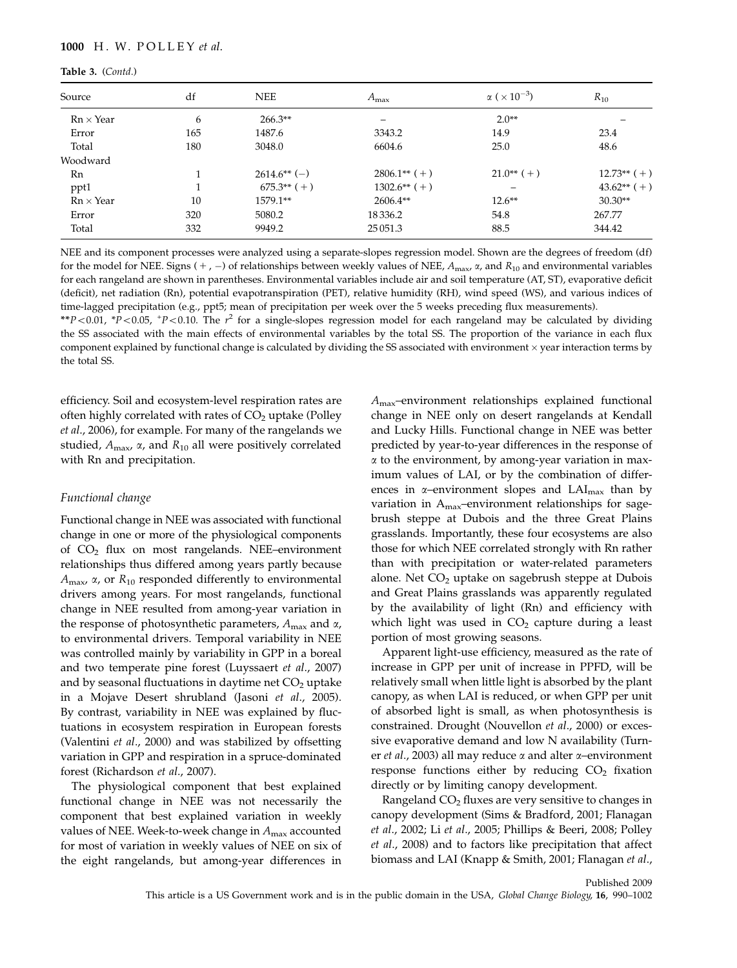#### Table 3. (Contd.)

| Source           | df  | <b>NEE</b>    | $A_{\rm max}$  | $\alpha$ ( $\times$ 10 <sup>-3</sup> ) | $R_{10}$      |
|------------------|-----|---------------|----------------|----------------------------------------|---------------|
| $Rn \times Year$ | 6   | $266.3**$     |                | $2.0**$                                |               |
| Error            | 165 | 1487.6        | 3343.2         | 14.9                                   | 23.4          |
| Total            | 180 | 3048.0        | 6604.6         | 25.0                                   | 48.6          |
| Woodward         |     |               |                |                                        |               |
| Rn               |     | $2614.6**(-)$ | $2806.1**$ (+) | $21.0^{**}$ (+)                        | $12.73**$ (+) |
| ppt1             |     | $675.3**$ (+) | $1302.6**$ (+) |                                        | $43.62**$ (+) |
| $Rn \times Year$ | 10  | 1579.1**      | $2606.4**$     | $12.6***$                              | $30.30**$     |
| Error            | 320 | 5080.2        | 18336.2        | 54.8                                   | 267.77        |
| Total            | 332 | 9949.2        | 25 05 1.3      | 88.5                                   | 344.42        |

NEE and its component processes were analyzed using a separate-slopes regression model. Shown are the degrees of freedom (df) for the model for NEE. Signs ( $+$  ,  $-$ ) of relationships between weekly values of NEE,  $A_{\max}$   $\alpha$ , and  $R_{10}$  and environmental variables for each rangeland are shown in parentheses. Environmental variables include air and soil temperature (AT, ST), evaporative deficit (deficit), net radiation (Rn), potential evapotranspiration (PET), relative humidity (RH), wind speed (WS), and various indices of time-lagged precipitation (e.g., ppt5; mean of precipitation per week over the 5 weeks preceding flux measurements).

\*\*P < 0.01, \*P < 0.05, +P < 0.10. The  $r^2$  for a single-slopes regression model for each rangeland may be calculated by dividing the SS associated with the main effects of environmental variables by the total SS. The proportion of the variance in each flux component explained by functional change is calculated by dividing the SS associated with environment  $\times$  year interaction terms by the total SS.

efficiency. Soil and ecosystem-level respiration rates are often highly correlated with rates of  $CO<sub>2</sub>$  uptake (Polley et al., 2006), for example. For many of the rangelands we studied,  $A_{\text{max}}$ ,  $\alpha$ , and  $R_{10}$  all were positively correlated with Rn and precipitation.

#### Functional change

Functional change in NEE was associated with functional change in one or more of the physiological components of CO2 flux on most rangelands. NEE–environment relationships thus differed among years partly because  $A_{\text{max}}$ ,  $\alpha$ , or  $R_{10}$  responded differently to environmental drivers among years. For most rangelands, functional change in NEE resulted from among-year variation in the response of photosynthetic parameters,  $A_{\text{max}}$  and  $\alpha$ , to environmental drivers. Temporal variability in NEE was controlled mainly by variability in GPP in a boreal and two temperate pine forest (Luyssaert et al., 2007) and by seasonal fluctuations in daytime net  $CO<sub>2</sub>$  uptake in a Mojave Desert shrubland (Jasoni et al., 2005). By contrast, variability in NEE was explained by fluctuations in ecosystem respiration in European forests (Valentini et al., 2000) and was stabilized by offsetting variation in GPP and respiration in a spruce-dominated forest (Richardson et al., 2007).

The physiological component that best explained functional change in NEE was not necessarily the component that best explained variation in weekly values of NEE. Week-to-week change in  $A_{\text{max}}$  accounted for most of variation in weekly values of NEE on six of the eight rangelands, but among-year differences in Amax–environment relationships explained functional change in NEE only on desert rangelands at Kendall and Lucky Hills. Functional change in NEE was better predicted by year-to-year differences in the response of  $\alpha$  to the environment, by among-year variation in maximum values of LAI, or by the combination of differences in  $\alpha$ -environment slopes and  $LAI_{max}$  than by variation in  $A_{\text{max}}$ -environment relationships for sagebrush steppe at Dubois and the three Great Plains grasslands. Importantly, these four ecosystems are also those for which NEE correlated strongly with Rn rather than with precipitation or water-related parameters alone. Net  $CO<sub>2</sub>$  uptake on sagebrush steppe at Dubois and Great Plains grasslands was apparently regulated by the availability of light (Rn) and efficiency with which light was used in  $CO<sub>2</sub>$  capture during a least portion of most growing seasons.

Apparent light-use efficiency, measured as the rate of increase in GPP per unit of increase in PPFD, will be relatively small when little light is absorbed by the plant canopy, as when LAI is reduced, or when GPP per unit of absorbed light is small, as when photosynthesis is constrained. Drought (Nouvellon et al., 2000) or excessive evaporative demand and low N availability (Turner et al., 2003) all may reduce  $\alpha$  and alter  $\alpha$ –environment response functions either by reducing  $CO<sub>2</sub>$  fixation directly or by limiting canopy development.

Rangeland  $CO<sub>2</sub>$  fluxes are very sensitive to changes in canopy development (Sims & Bradford, 2001; Flanagan et al., 2002; Li et al., 2005; Phillips & Beeri, 2008; Polley et al., 2008) and to factors like precipitation that affect biomass and LAI (Knapp & Smith, 2001; Flanagan et al.,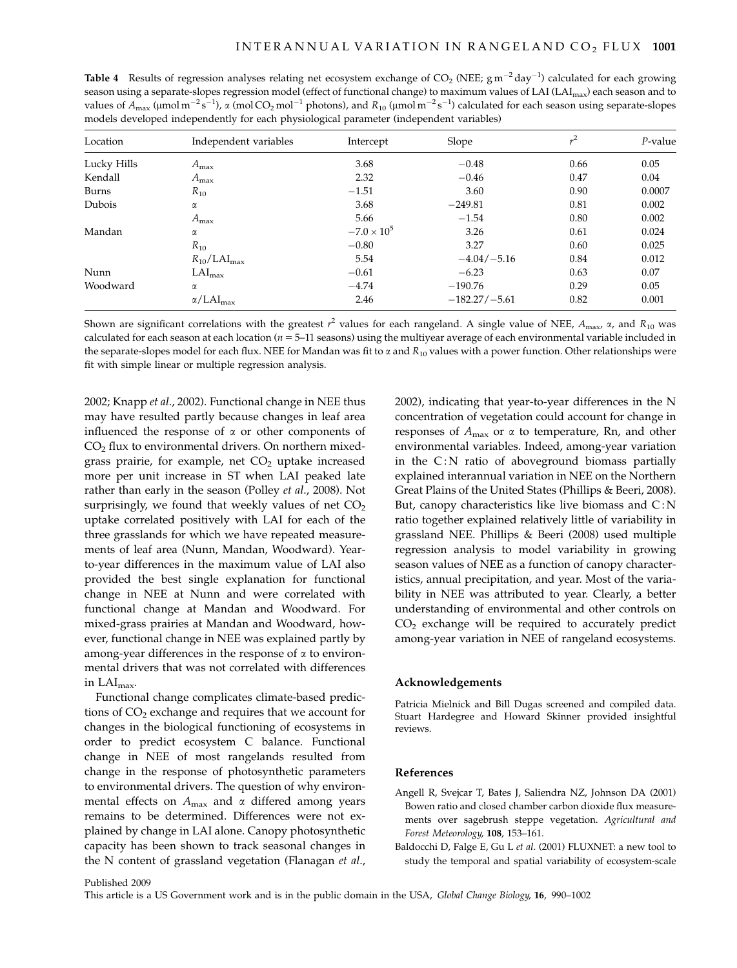**Table 4** Results of regression analyses relating net ecosystem exchange of  $CO_2$  (NEE;  $gm^{-2}day^{-1}$ ) calculated for each growing season using a separate-slopes regression model (effect of functional change) to maximum values of LAI (LAI<sub>max</sub>) each season and to values of  $A_{\text{max}}$  (µmol m<sup>-2</sup>s<sup>-1</sup>),  $\alpha$  (mol CO<sub>2</sub> mol<sup>-1</sup> photons), and  $R_{10}$  (µmol m<sup>-2</sup>s<sup>-1</sup>) calculated for each season using separate-slopes models developed independently for each physiological parameter (independent variables)

| Location    | Independent variables        | Intercept            | Slope           | $r^2$ | $P$ -value |
|-------------|------------------------------|----------------------|-----------------|-------|------------|
| Lucky Hills | $A_{\rm max}$                | 3.68                 | $-0.48$         | 0.66  | 0.05       |
| Kendall     | $A_{\rm max}$                | 2.32                 | $-0.46$         | 0.47  | 0.04       |
| Burns       | $R_{10}$                     | $-1.51$              | 3.60            | 0.90  | 0.0007     |
| Dubois      | α                            | 3.68                 | $-249.81$       | 0.81  | 0.002      |
|             | $A_{\text{max}}$             | 5.66                 | $-1.54$         | 0.80  | 0.002      |
| Mandan      | α                            | $-7.0 \times 10^{5}$ | 3.26            | 0.61  | 0.024      |
|             | $R_{10}$                     | $-0.80$              | 3.27            | 0.60  | 0.025      |
|             | $R_{10}/LAI_{\text{max}}$    | 5.54                 | $-4.04/-5.16$   | 0.84  | 0.012      |
| Nunn        | $LAI_{max}$                  | $-0.61$              | $-6.23$         | 0.63  | 0.07       |
| Woodward    | α                            | $-4.74$              | $-190.76$       | 0.29  | 0.05       |
|             | $\alpha$ /LAI <sub>max</sub> | 2.46                 | $-182.27/-5.61$ | 0.82  | 0.001      |

Shown are significant correlations with the greatest  $r^2$  values for each rangeland. A single value of NEE,  $A_{\rm max}$ ,  $\alpha$ , and  $R_{10}$  was calculated for each season at each location ( $n = 5-11$  seasons) using the multiyear average of each environmental variable included in the separate-slopes model for each flux. NEE for Mandan was fit to  $\alpha$  and  $R_{10}$  values with a power function. Other relationships were fit with simple linear or multiple regression analysis.

2002; Knapp et al., 2002). Functional change in NEE thus may have resulted partly because changes in leaf area influenced the response of  $\alpha$  or other components of  $CO<sub>2</sub>$  flux to environmental drivers. On northern mixedgrass prairie, for example, net  $CO<sub>2</sub>$  uptake increased more per unit increase in ST when LAI peaked late rather than early in the season (Polley et al., 2008). Not surprisingly, we found that weekly values of net  $CO<sub>2</sub>$ uptake correlated positively with LAI for each of the three grasslands for which we have repeated measurements of leaf area (Nunn, Mandan, Woodward). Yearto-year differences in the maximum value of LAI also provided the best single explanation for functional change in NEE at Nunn and were correlated with functional change at Mandan and Woodward. For mixed-grass prairies at Mandan and Woodward, however, functional change in NEE was explained partly by among-year differences in the response of  $\alpha$  to environmental drivers that was not correlated with differences in LAImax.

Functional change complicates climate-based predictions of  $CO<sub>2</sub>$  exchange and requires that we account for changes in the biological functioning of ecosystems in order to predict ecosystem C balance. Functional change in NEE of most rangelands resulted from change in the response of photosynthetic parameters to environmental drivers. The question of why environmental effects on  $A_{\text{max}}$  and  $\alpha$  differed among years remains to be determined. Differences were not explained by change in LAI alone. Canopy photosynthetic capacity has been shown to track seasonal changes in the N content of grassland vegetation (Flanagan et al., 2002), indicating that year-to-year differences in the N concentration of vegetation could account for change in responses of  $A_{\text{max}}$  or  $\alpha$  to temperature, Rn, and other environmental variables. Indeed, among-year variation in the  $C: N$  ratio of aboveground biomass partially explained interannual variation in NEE on the Northern Great Plains of the United States (Phillips & Beeri, 2008). But, canopy characteristics like live biomass and  $C:N$ ratio together explained relatively little of variability in grassland NEE. Phillips & Beeri (2008) used multiple regression analysis to model variability in growing season values of NEE as a function of canopy characteristics, annual precipitation, and year. Most of the variability in NEE was attributed to year. Clearly, a better understanding of environmental and other controls on  $CO<sub>2</sub>$  exchange will be required to accurately predict among-year variation in NEE of rangeland ecosystems.

#### Acknowledgements

Patricia Mielnick and Bill Dugas screened and compiled data. Stuart Hardegree and Howard Skinner provided insightful reviews.

#### References

- Angell R, Svejcar T, Bates J, Saliendra NZ, Johnson DA (2001) Bowen ratio and closed chamber carbon dioxide flux measurements over sagebrush steppe vegetation. Agricultural and Forest Meteorology, 108, 153–161.
- Baldocchi D, Falge E, Gu L et al. (2001) FLUXNET: a new tool to study the temporal and spatial variability of ecosystem-scale